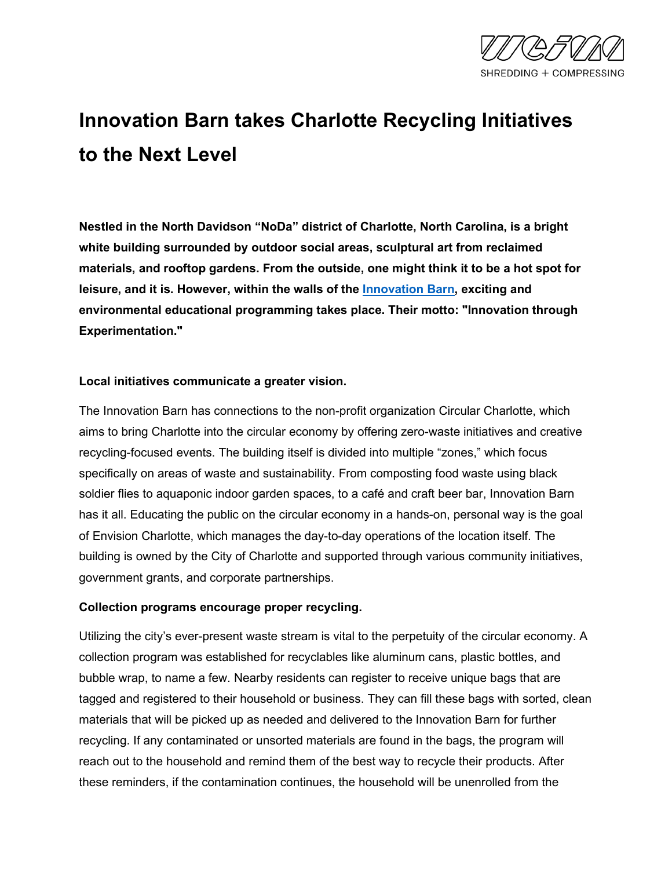

# **Innovation Barn takes Charlotte Recycling Initiatives to the Next Level**

**Nestled in the North Davidson "NoDa" district of Charlotte, North Carolina, is a bright white building surrounded by outdoor social areas, sculptural art from reclaimed materials, and rooftop gardens. From the outside, one might think it to be a hot spot for leisure, and it is. However, within the walls of the [Innovation Barn,](https://envisioncharlotte.com/innovation-barn/) exciting and environmental educational programming takes place. Their motto: "Innovation through Experimentation."**

#### **Local initiatives communicate a greater vision.**

The Innovation Barn has connections to the non-profit organization Circular Charlotte, which aims to bring Charlotte into the circular economy by offering zero-waste initiatives and creative recycling-focused events. The building itself is divided into multiple "zones," which focus specifically on areas of waste and sustainability. From composting food waste using black soldier flies to aquaponic indoor garden spaces, to a café and craft beer bar, Innovation Barn has it all. Educating the public on the circular economy in a hands-on, personal way is the goal of Envision Charlotte, which manages the day-to-day operations of the location itself. The building is owned by the City of Charlotte and supported through various community initiatives, government grants, and corporate partnerships.

#### **Collection programs encourage proper recycling.**

Utilizing the city's ever-present waste stream is vital to the perpetuity of the circular economy. A collection program was established for recyclables like aluminum cans, plastic bottles, and bubble wrap, to name a few. Nearby residents can register to receive unique bags that are tagged and registered to their household or business. They can fill these bags with sorted, clean materials that will be picked up as needed and delivered to the Innovation Barn for further recycling. If any contaminated or unsorted materials are found in the bags, the program will reach out to the household and remind them of the best way to recycle their products. After these reminders, if the contamination continues, the household will be unenrolled from the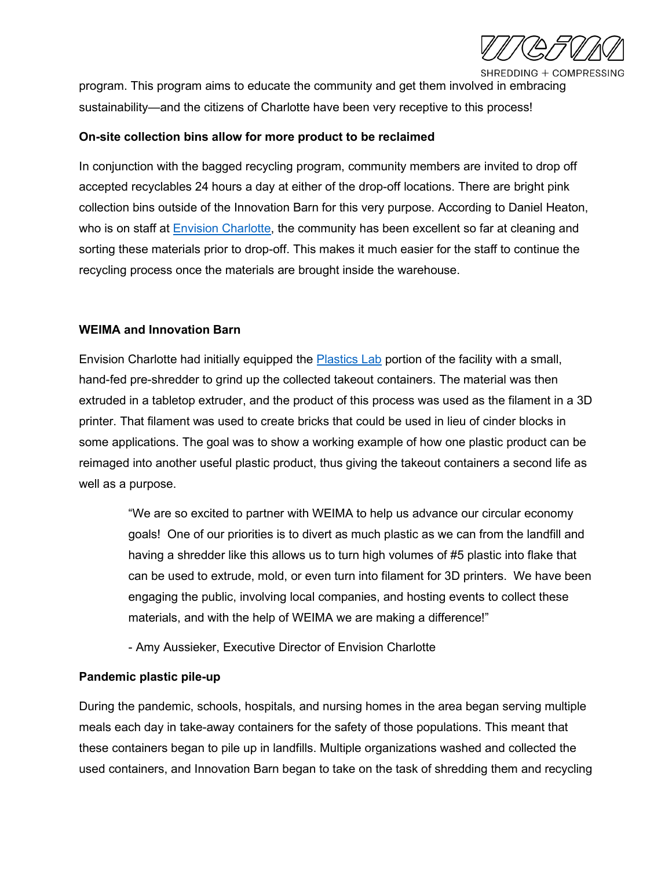SHREDDING + COMPRESSING

program. This program aims to educate the community and get them involved in embracing sustainability—and the citizens of Charlotte have been very receptive to this process!

#### **On-site collection bins allow for more product to be reclaimed**

In conjunction with the bagged recycling program, community members are invited to drop off accepted recyclables 24 hours a day at either of the drop-off locations. There are bright pink collection bins outside of the Innovation Barn for this very purpose. According to Daniel Heaton, who is on staff at [Envision Charlotte,](https://envisioncharlotte.com/) the community has been excellent so far at cleaning and sorting these materials prior to drop-off. This makes it much easier for the staff to continue the recycling process once the materials are brought inside the warehouse.

#### **WEIMA and Innovation Barn**

Envision Charlotte had initially equipped the [Plastics Lab](https://envisioncharlotte.com/plastics/) portion of the facility with a small, hand-fed pre-shredder to grind up the collected takeout containers. The material was then extruded in a tabletop extruder, and the product of this process was used as the filament in a 3D printer. That filament was used to create bricks that could be used in lieu of cinder blocks in some applications. The goal was to show a working example of how one plastic product can be reimaged into another useful plastic product, thus giving the takeout containers a second life as well as a purpose.

"We are so excited to partner with WEIMA to help us advance our circular economy goals! One of our priorities is to divert as much plastic as we can from the landfill and having a shredder like this allows us to turn high volumes of #5 plastic into flake that can be used to extrude, mold, or even turn into filament for 3D printers. We have been engaging the public, involving local companies, and hosting events to collect these materials, and with the help of WEIMA we are making a difference!"

- Amy Aussieker, Executive Director of Envision Charlotte

#### **Pandemic plastic pile-up**

During the pandemic, schools, hospitals, and nursing homes in the area began serving multiple meals each day in take-away containers for the safety of those populations. This meant that these containers began to pile up in landfills. Multiple organizations washed and collected the used containers, and Innovation Barn began to take on the task of shredding them and recycling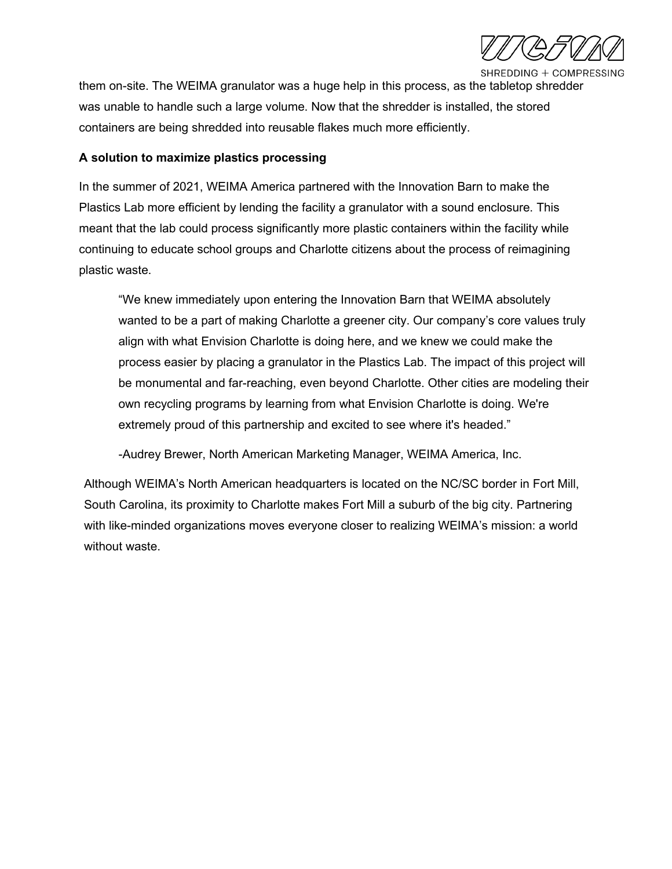

SHREDDING + COMPRESSING

them on-site. The WEIMA granulator was a huge help in this process, as the tabletop shredder was unable to handle such a large volume. Now that the shredder is installed, the stored containers are being shredded into reusable flakes much more efficiently.

# **A solution to maximize plastics processing**

In the summer of 2021, WEIMA America partnered with the Innovation Barn to make the Plastics Lab more efficient by lending the facility a granulator with a sound enclosure. This meant that the lab could process significantly more plastic containers within the facility while continuing to educate school groups and Charlotte citizens about the process of reimagining plastic waste.

"We knew immediately upon entering the Innovation Barn that WEIMA absolutely wanted to be a part of making Charlotte a greener city. Our company's core values truly align with what Envision Charlotte is doing here, and we knew we could make the process easier by placing a granulator in the Plastics Lab. The impact of this project will be monumental and far-reaching, even beyond Charlotte. Other cities are modeling their own recycling programs by learning from what Envision Charlotte is doing. We're extremely proud of this partnership and excited to see where it's headed."

-Audrey Brewer, North American Marketing Manager, WEIMA America, Inc.

Although WEIMA's North American headquarters is located on the NC/SC border in Fort Mill, South Carolina, its proximity to Charlotte makes Fort Mill a suburb of the big city. Partnering with like-minded organizations moves everyone closer to realizing WEIMA's mission: a world without waste.